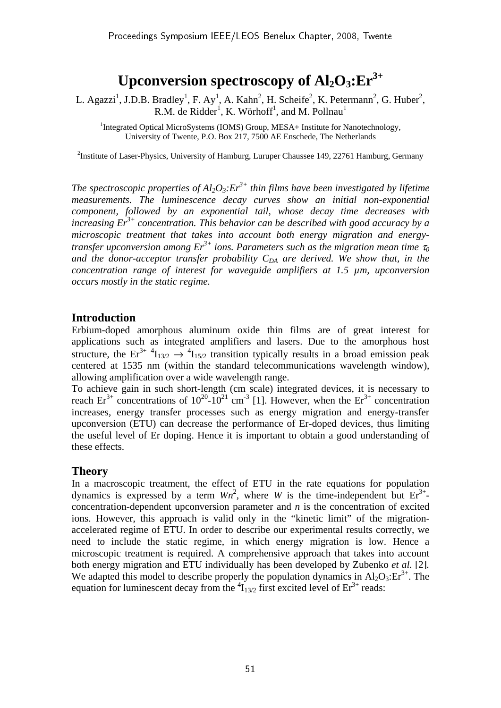# Upconversion spectroscopy of  $Al_2O_3$ : $Er^{3+}$

L. Agazzi<sup>1</sup>, J.D.B. Bradley<sup>1</sup>, F. Ay<sup>1</sup>, A. Kahn<sup>2</sup>, H. Scheife<sup>2</sup>, K. Petermann<sup>2</sup>, G. Huber<sup>2</sup>, R.M. de Ridder<sup>1</sup>, K. Wörhoff<sup>1</sup>, and M. Pollnau<sup>1</sup>

<sup>1</sup>Integrated Optical MicroSystems (IOMS) Group, MESA+ Institute for Nanotechnology, University of Twente, P.O. Box 217, 7500 AE Enschede, The Netherlands

<sup>2</sup>Institute of Laser-Physics, University of Hamburg, Luruper Chaussee 149, 22761 Hamburg, Germany

*The spectroscopic properties of Al<sub>2</sub>O<sub>3</sub>:* $Er^{3+}$  *thin films have been investigated by lifetime measurements. The luminescence decay curves show an initial non-exponential component, followed by an exponential tail, whose decay time decreases with increasing Er3+ concentration. This behavior can be described with good accuracy by a microscopic treatment that takes into account both energy migration and energytransfer upconversion among Er3+ ions. Parameters such as the migration mean time* <sup>τ</sup>*<sup>0</sup>* and the donor-acceptor transfer probability  $C_{DA}$  are derived. We show that, in the *concentration range of interest for waveguide amplifiers at 1.5 µm, upconversion occurs mostly in the static regime.* 

## **Introduction**

Erbium-doped amorphous aluminum oxide thin films are of great interest for applications such as integrated amplifiers and lasers. Due to the amorphous host structure, the Er<sup>3+ 4</sup>I<sub>13/2</sub>  $\rightarrow$  <sup>4</sup>I<sub>15/2</sub> transition typically results in a broad emission peak centered at 1535 nm (within the standard telecommunications wavelength window), allowing amplification over a wide wavelength range.

To achieve gain in such short-length (cm scale) integrated devices, it is necessary to reach  $Er^{3+}$  concentrations of  $10^{20}$ - $10^{21}$  cm<sup>-3</sup> [1]. However, when the  $Er^{3+}$  concentration increases, energy transfer processes such as energy migration and energy-transfer upconversion (ETU) can decrease the performance of Er-doped devices, thus limiting the useful level of Er doping. Hence it is important to obtain a good understanding of these effects.

## **Theory**

In a macroscopic treatment, the effect of ETU in the rate equations for population dynamics is expressed by a term  $Wn^2$ , where *W* is the time-independent but  $Er^{3+}$ concentration-dependent upconversion parameter and *n* is the concentration of excited ions. However, this approach is valid only in the "kinetic limit" of the migrationaccelerated regime of ETU. In order to describe our experimental results correctly, we need to include the static regime, in which energy migration is low. Hence a microscopic treatment is required. A comprehensive approach that takes into account both energy migration and ETU individually has been developed by Zubenko *et al.* [2]*.* We adapted this model to describe properly the population dynamics in  $Al_2O_3$ : $Er^{3+}$ . The equation for luminescent decay from the  ${}^{4}I_{13/2}$  first excited level of  $Er^{3+}$  reads: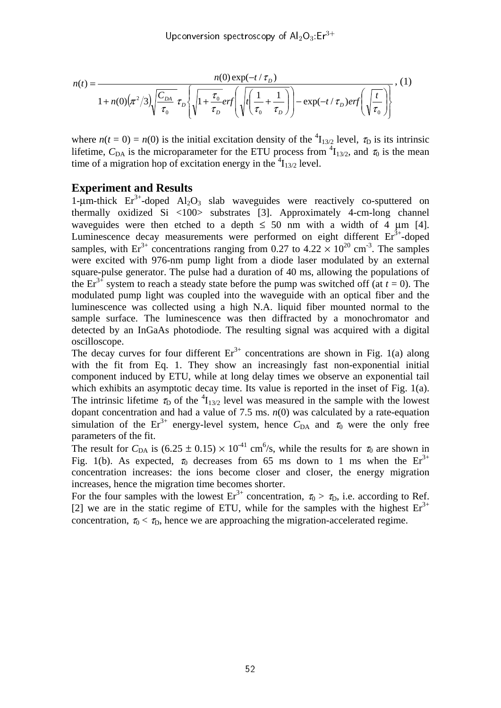Upconversion spectroscopy of  $Al_2O_3$ :  $Er^{3+}$ 

$$
n(t) = \frac{n(0) \exp(-t/\tau_D)}{1 + n(0)(\pi^2/3) \sqrt{\frac{C_{DA}}{\tau_0}} \tau_D \left\{ \sqrt{1 + \frac{\tau_0}{\tau_D}} erf\left(\sqrt{t\left(\frac{1}{\tau_0} + \frac{1}{\tau_D}\right)}\right) - \exp(-t/\tau_D) erf\left(\sqrt{\frac{t}{\tau_0}}\right) \right\}}, (1)
$$

where  $n(t = 0) = n(0)$  is the initial excitation density of the <sup>4</sup>I<sub>13/2</sub> level,  $\tau_D$  is its intrinsic lifetime,  $C_{DA}$  is the microparameter for the ETU process from  ${}^{4}I_{13/2}$ , and  $\tau_0$  is the mean time of a migration hop of excitation energy in the  $\frac{4}{1_{3/2}}$  level.

#### **Experiment and Results**

1-μm-thick  $Er^{3+}$ -doped Al<sub>2</sub>O<sub>3</sub> slab waveguides were reactively co-sputtered on thermally oxidized Si <100> substrates [3]. Approximately 4-cm-long channel waveguides were then etched to a depth  $\leq 50$  nm with a width of 4  $\mu$ m [4]. Luminescence decay measurements were performed on eight different  $Er<sup>3+</sup>$ -doped samples, with Er<sup>3+</sup> concentrations ranging from 0.27 to 4.22  $\times$  10<sup>20</sup> cm<sup>-3</sup>. The samples were excited with 976-nm pump light from a diode laser modulated by an external square-pulse generator. The pulse had a duration of 40 ms, allowing the populations of the  $Er^{3+}$  system to reach a steady state before the pump was switched off (at  $t = 0$ ). The modulated pump light was coupled into the waveguide with an optical fiber and the luminescence was collected using a high N.A. liquid fiber mounted normal to the sample surface. The luminescence was then diffracted by a monochromator and detected by an InGaAs photodiode. The resulting signal was acquired with a digital oscilloscope.

The decay curves for four different  $Er<sup>3+</sup>$  concentrations are shown in Fig. 1(a) along with the fit from Eq. 1. They show an increasingly fast non-exponential initial component induced by ETU, while at long delay times we observe an exponential tail which exhibits an asymptotic decay time. Its value is reported in the inset of Fig. 1(a). The intrinsic lifetime  $\tau_D$  of the  ${}^4I_{13/2}$  level was measured in the sample with the lowest dopant concentration and had a value of 7.5 ms.  $n(0)$  was calculated by a rate-equation simulation of the Er<sup>3+</sup> energy-level system, hence  $C_{DA}$  and  $\tau_0$  were the only free parameters of the fit.

The result for  $C_{\text{DA}}$  is  $(6.25 \pm 0.15) \times 10^{-41}$  cm<sup>6</sup>/s, while the results for  $\tau_0$  are shown in Fig. 1(b). As expected,  $\tau_0$  decreases from 65 ms down to 1 ms when the Er<sup>3+</sup> concentration increases: the ions become closer and closer, the energy migration increases, hence the migration time becomes shorter.

For the four samples with the lowest  $Er^{3+}$  concentration,  $\tau_0 > \tau_D$ , i.e. according to Ref. [2] we are in the static regime of ETU, while for the samples with the highest  $Er<sup>3+</sup>$ concentration,  $\tau_0 < \tau_D$ , hence we are approaching the migration-accelerated regime.